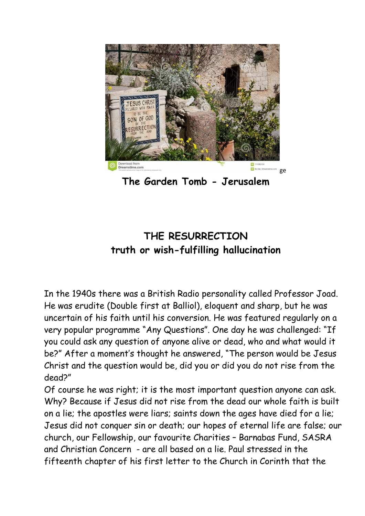

**The Garden Tomb - Jerusalem**

## **THE RESURRECTION truth or wish-fulfilling hallucination**

In the 1940s there was a British Radio personality called Professor Joad. He was erudite (Double first at Balliol), eloquent and sharp, but he was uncertain of his faith until his conversion. He was featured regularly on a very popular programme "Any Questions". One day he was challenged: "If you could ask any question of anyone alive or dead, who and what would it be?" After a moment's thought he answered, "The person would be Jesus Christ and the question would be, did you or did you do not rise from the dead?"

Of course he was right; it is the most important question anyone can ask. Why? Because if Jesus did not rise from the dead our whole faith is built on a lie; the apostles were liars; saints down the ages have died for a lie; Jesus did not conquer sin or death; our hopes of eternal life are false; our church, our Fellowship, our favourite Charities – Barnabas Fund, SASRA and Christian Concern - are all based on a lie. Paulstressed in the fifteenth chapter of his first letter to the Church in Corinth that the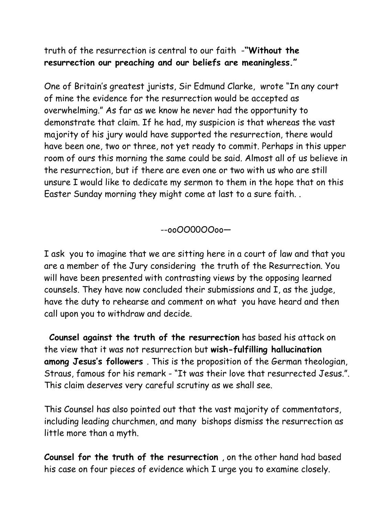truth of the resurrection is central to our faith -**"Without the resurrection our preaching and our beliefs are meaningless."**

One of Britain's greatest jurists, Sir Edmund Clarke, wrote "In any court of mine the evidence for the resurrection would be accepted as overwhelming." As far as we know he never had the opportunity to demonstrate that claim. If he had, my suspicion is that whereas the vast majority of his jury would have supported the resurrection, there would have been one, two or three, not yet ready to commit. Perhaps in this upper room of ours this morning the same could be said. Almost all of us believe in the resurrection, but if there are even one or two with us who are still unsure I would like to dedicate my sermon to them in the hope that on this Easter Sunday morning they might come at last to a sure faith. .

--ooOO00OOoo—

I ask you to imagine that we are sitting here in a court of law and that you are a member of the Jury considering the truth of the Resurrection. You will have been presented with contrasting views by the opposing learned counsels. They have now concluded their submissions and I, as the judge, have the duty to rehearse and comment on what you have heard and then call upon you to withdraw and decide.

**Counsel against the truth of the resurrection** has based his attack on the view that it was not resurrection but **wish-fulfilling hallucination among Jesus's followers** . This is the proposition of the German theologian, Straus, famous for his remark - "It was their love that resurrected Jesus.". This claim deserves very careful scrutiny as we shall see.

This Counsel has also pointed out that the vast majority of commentators, including leading churchmen, and many bishops dismiss the resurrection as little more than a myth.

**Counsel for the truth of the resurrection** , on the other hand had based his case on four pieces of evidence which I urge you to examine closely.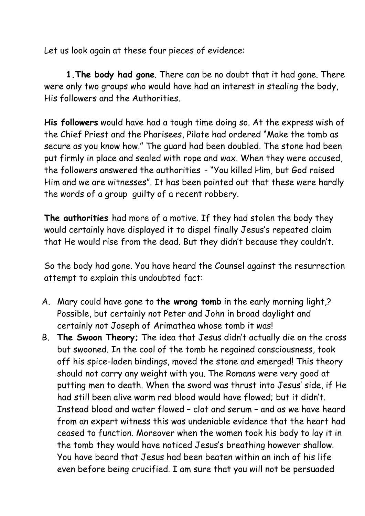Let us look again at these four pieces of evidence:

**1.The body had gone**. There can be no doubt that it had gone. There were only two groups who would have had an interest in stealing the body, His followers and the Authorities.

**His followers** would have had a tough time doing so. At the express wish of the Chief Priest and the Pharisees, Pilate had ordered "Make the tomb as secure as you know how." The guard had been doubled. The stone had been put firmly in place and sealed with rope and wax. When they were accused, the followers answered the authorities - "You killed Him, but God raised Him and we are witnesses". It has been pointed out that these were hardly the words of a group guilty of a recent robbery.

**The authorities** had more of a motive. If they had stolen the body they would certainly have displayed it to dispel finally Jesus's repeated claim that He would rise from the dead. But they didn't because they couldn't.

So the body had gone. You have heard the Counsel against the resurrection attempt to explain this undoubted fact:

- A. Mary could have gone to **the wrong tomb** in the early morning light,? Possible, but certainly not Peter and John in broad daylight and certainly not Joseph of Arimathea whose tomb it was!
- B. **The Swoon Theory;** The idea that Jesus didn't actually die on the cross but swooned. In the cool of the tomb he regained consciousness, took off his spice-laden bindings, moved the stone and emerged! This theory should not carry any weight with you. The Romans were very good at putting men to death. When the sword was thrust into Jesus' side, if He had still been alive warm red blood would have flowed; but it didn't.<br>Instead blood and water flowed – clot and serum – and as we have heard from an expert witness this was undeniable evidence that the heart had ceased to function. Moreover when the women took his body to lay it in the tomb they would have noticed Jesus's breathing however shallow. You have beard that Jesus had been beaten within an inch ofhis life even before being crucified. I am sure that you will not be persuaded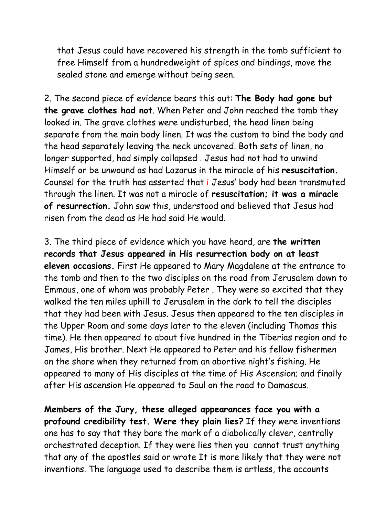that Jesus could have recovered his strength in the tomb sufficient to free Himself from a hundredweight of spices and bindings, move the sealed stone and emerge without being seen.

2. The second piece of evidence bears this out: **The Body had gone but the grave clothes had not**. When Peter and John reached the tomb they looked in. The grave clothes were undisturbed, the head linen being separate from the main body linen. It was the custom to bind the body and the head separately leaving the neck uncovered. Both sets of linen, no longer supported, had simply collapsed . Jesus had not had to unwind Himself or be unwound as had Lazarus in the miracle of his **resuscitation.** Counsel for the truth has asserted that i Jesus' body had been transmuted through the linen. It was not a miracle of **resuscitation; it was a miracle of resurrection.** John saw this, understood and believed that Jesus had risen from the dead as He had said He would.

3. The third piece of evidence which you have heard, are **the written records that Jesus appeared inHis resurrection body on at least eleven occasions.** First He appeared to Mary Magdalene at the entrance to the tomb and then to the two disciples on the road from Jerusalem down to Emmaus, one of whom was probably Peter . They were so excited that they walked the ten miles uphill to Jerusalem in the dark to tell the disciples that they had been with Jesus. Jesus then appeared to the ten disciples in the Upper Room and some days later to the eleven (including Thomas this time). He then appeared to about five hundred in the Tiberias region and to James, His brother. Next He appeared to Peter and his fellow fishermen on the shore when they returned from an abortive night's fishing. He appeared to many of His disciples at the time of His Ascension; and finally after His ascension He appeared to Saul on the road to Damascus.

**Members of the Jury, these alleged appearances face you with a profound credibility test. Were they plain lies?** If they were inventions one has to say that they bare the mark of a diabolically clever, centrally orchestrated deception. If they were lies then you cannot trust anything that any of the apostles said or wrote It is more likely that they were not inventions. The language used to describe them is artless, the accounts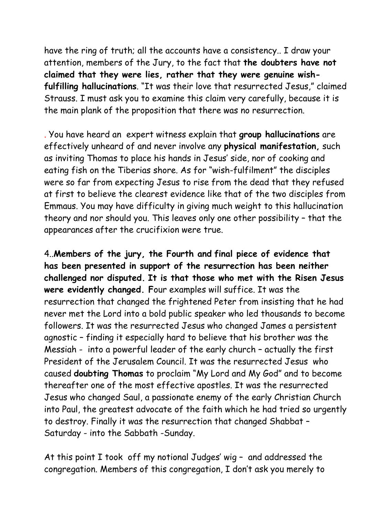have the ring of truth; all the accounts have a consistency.. I draw your attention, members of the Jury, to the fact that **the doubters have not claimed that they were lies, rather that they were genuine wishfulfilling hallucinations**. "It was their love that resurrected Jesus," claimed Strauss. I must ask you to examine this claim very carefully, because it is the main plank of the proposition that there was no resurrection.

. You have heard an expert witness explain that **group hallucinations** are effectively unheard of and never involve any **physical manifestation,** such as inviting Thomas to place his hands in Jesus' side, nor of cooking and eating fish on the Tiberias shore. As for "wish-fulfilment" the disciples were so far from expecting Jesus to rise from the dead that they refused at first to believe the clearest evidence like that of the two disciples from Emmaus. You may have difficulty in giving much weight to this hallucination theory and nor should you. This leaves only one other possibility – that the appearances after the crucifixion were true.

4..**Members of the jury, the Fourth and final piece of evidence that has been presented insupport of the resurrection has been neither challenged nor disputed. It is that those who met with the Risen Jesus were evidently changed. F**our examples will suffice. It was the resurrection that changed the frightened Peter from insisting that he had never met the Lord into a bold public speaker who led thousands to become followers. It was the resurrected Jesus who changed James a persistent agnostic – finding it especially hard to believe that his brother was the Messiah - into a powerful leader of the early church – actually the first President of the Jerusalem Council. It was the resurrected Jesus who caused **doubting Thomas** to proclaim "My Lord and My God" and to become thereafter one of the most effective apostles. It was the resurrected Jesus who changed Saul, a passionate enemy of the early Christian Church into Paul, the greatest advocate of the faith which he had tried so urgently to destroy. Finally it was the resurrection that changed Shabbat – Saturday - into the Sabbath -Sunday.

At this point I took off my notional Judges' wig – and addressed the congregation. Members of this congregation, I don't ask you merely to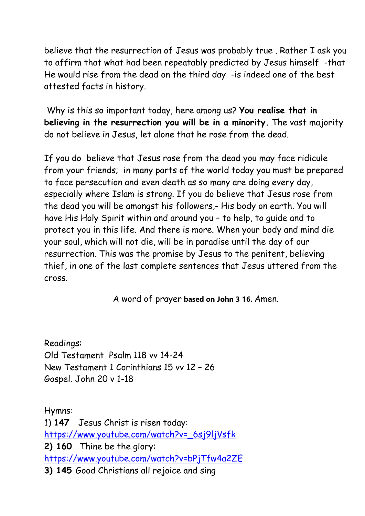believe that the resurrection of Jesus was probably true . Rather I ask you to affirm that what had been repeatably predicted by Jesus himself -that He would rise from the dead on the third day -is indeed one of the best attested facts in history.

Why is this so important today, here among us? **You realise that in believing in the resurrection you will be in a minority.** The vast majority do not believe in Jesus, let alone that he rose from the dead.

If you do believe that Jesus rose from the dead you may face ridicule from your friends; in many parts of the world today you must be prepared to face persecution and even death as so many are doing every day, especially where Islam is strong. If you do believe that Jesus rose from the dead you will be amongst his followers,- His body on earth. You will have His Holy Spirit within and around you – to help, to guide and to protect you in this life. And there is more. When your body and mind die your soul, which will not die, will be in paradise until the day of our resurrection. This was the promise by Jesus to the penitent, believing thief, in one of the last complete sentences that Jesus uttered from the cross.

A word of prayer **based on John 3 16.** Amen.

Readings: Old Testament Psalm 118 vv 14-24 New Testament 1 Corinthians 15 vv 12 – 26 Gospel. John 20 v 1-18

Hymns: 1) **147** Jesus Christ is risen today: [https://www.youtube.com/watch?v=\\_6sj9ljVsfk](https://www.youtube.com/watch?v=_6sj9ljVsfk) **2) 160** Thine be the glory: <https://www.youtube.com/watch?v=bPjTfw4a2ZE> **3) 145** Good Christians all rejoice and sing